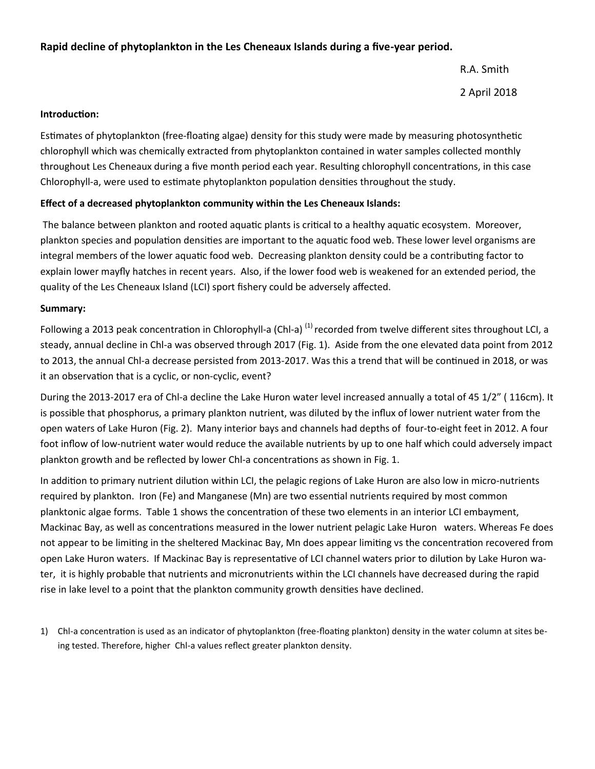### **Rapid decline of phytoplankton in the Les Cheneaux Islands during a five-year period.**

R.A. Smith 2 April 2018

#### **Introduction:**

Estimates of phytoplankton (free-floating algae) density for this study were made by measuring photosynthetic chlorophyll which was chemically extracted from phytoplankton contained in water samples collected monthly throughout Les Cheneaux during a five month period each year. Resulting chlorophyll concentrations, in this case Chlorophyll-a, were used to estimate phytoplankton population densities throughout the study.

#### **Effect of a decreased phytoplankton community within the Les Cheneaux Islands:**

The balance between plankton and rooted aquatic plants is critical to a healthy aquatic ecosystem. Moreover, plankton species and population densities are important to the aquatic food web. These lower level organisms are integral members of the lower aquatic food web. Decreasing plankton density could be a contributing factor to explain lower mayfly hatches in recent years. Also, if the lower food web is weakened for an extended period, the quality of the Les Cheneaux Island (LCI) sport fishery could be adversely affected.

#### **Summary:**

Following a 2013 peak concentration in Chlorophyll-a (Chl-a)<sup>(1)</sup> recorded from twelve different sites throughout LCI, a steady, annual decline in Chl-a was observed through 2017 (Fig. 1). Aside from the one elevated data point from 2012 to 2013, the annual Chl-a decrease persisted from 2013-2017. Was this a trend that will be continued in 2018, or was it an observation that is a cyclic, or non-cyclic, event?

During the 2013-2017 era of Chl-a decline the Lake Huron water level increased annually a total of 45 1/2" ( 116cm). It is possible that phosphorus, a primary plankton nutrient, was diluted by the influx of lower nutrient water from the open waters of Lake Huron (Fig. 2). Many interior bays and channels had depths of four-to-eight feet in 2012. A four foot inflow of low-nutrient water would reduce the available nutrients by up to one half which could adversely impact plankton growth and be reflected by lower Chl-a concentrations as shown in Fig. 1.

In addition to primary nutrient dilution within LCI, the pelagic regions of Lake Huron are also low in micro-nutrients required by plankton. Iron (Fe) and Manganese (Mn) are two essential nutrients required by most common planktonic algae forms. Table 1 shows the concentration of these two elements in an interior LCI embayment, Mackinac Bay, as well as concentrations measured in the lower nutrient pelagic Lake Huron waters. Whereas Fe does not appear to be limiting in the sheltered Mackinac Bay, Mn does appear limiting vs the concentration recovered from open Lake Huron waters. If Mackinac Bay is representative of LCI channel waters prior to dilution by Lake Huron water, it is highly probable that nutrients and micronutrients within the LCI channels have decreased during the rapid rise in lake level to a point that the plankton community growth densities have declined.

1) Chl-a concentration is used as an indicator of phytoplankton (free-floating plankton) density in the water column at sites being tested. Therefore, higher Chl-a values reflect greater plankton density.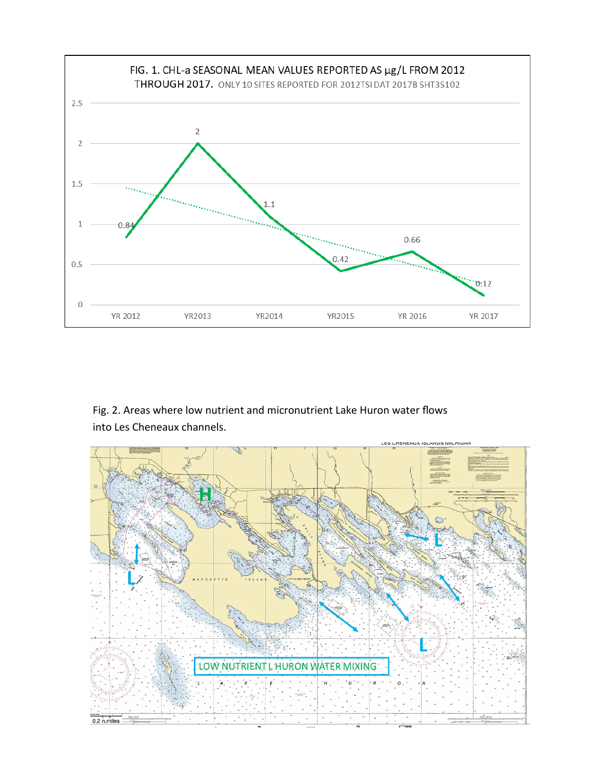

# Fig. 2. Areas where low nutrient and micronutrient Lake Huron water flows into Les Cheneaux channels.